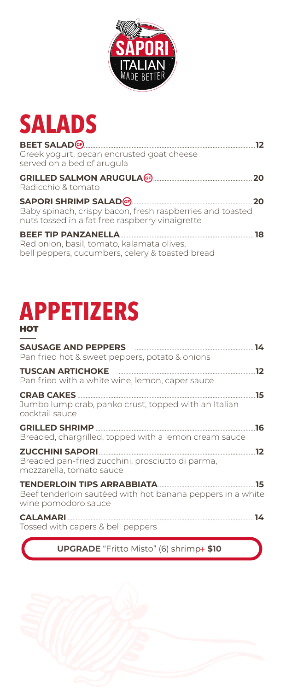

# **SALADS**

| Greek yogurt, pecan encrusted goat cheese<br>served on a bed of arugula                                                                    | 12   |
|--------------------------------------------------------------------------------------------------------------------------------------------|------|
| Radicchio & tomato                                                                                                                         | .20  |
| SAPORI SHRIMP SALAD (6) 20<br>Baby spinach, crispy bacon, fresh raspberries and toasted<br>nuts tossed in a fat free raspberry vinaigrette |      |
| <b>BEEF TIP PANZANELLA.</b><br>Red onion, basil, tomato, kalamata olives,<br>bell peppers, cucumbers, celery & toasted bread               | - 18 |

# **APPETIZERS HOT**

| SAUSAGE AND PEPPERS <b>EXAMPLE 24</b> 14<br>Pan fried hot & sweet peppers, potato & onions  |     |
|---------------------------------------------------------------------------------------------|-----|
| Pan fried with a white wine, lemon, caper sauce                                             |     |
| <b>CRAB CAKES</b><br>Jumbo lump crab, panko crust, topped with an Italian<br>cocktail sauce | .15 |
| Breaded, chargrilled, topped with a lemon cream sauce                                       | .16 |
| Breaded pan-fried zucchini, prosciutto di parma,<br>mozzarella, tomato sauce                |     |
| Beef tenderloin sautéed with hot banana peppers in a white<br>wine pomodoro sauce           |     |
| Tossed with capers & bell peppers                                                           |     |

**UPGRADE** "Fritto Misto" (6) shrimp+ \$10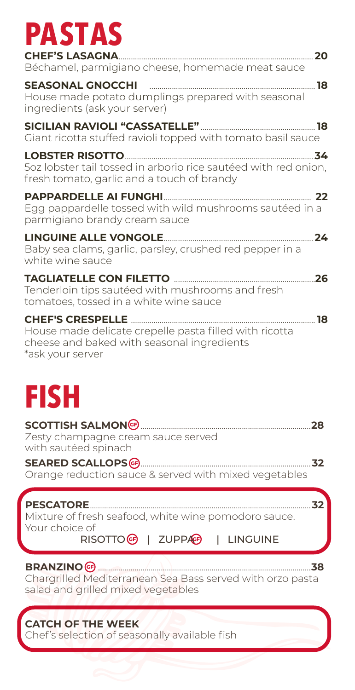# **PASTAS**

| Béchamel, parmigiano cheese, homemade meat sauce                                                                                                |
|-------------------------------------------------------------------------------------------------------------------------------------------------|
| SEASONAL GNOCCHI <b>Entrant Constant Construction</b> 18<br>House made potato dumplings prepared with seasonal<br>ingredients (ask your server) |
| Giant ricotta stuffed ravioli topped with tomato basil sauce                                                                                    |
| 5oz lobster tail tossed in arborio rice sautéed with red onion,<br>fresh tomato, garlic and a touch of brandy                                   |
| Egg pappardelle tossed with wild mushrooms sautéed in a<br>parmigiano brandy cream sauce                                                        |
| Baby sea clams, garlic, parsley, crushed red pepper in a<br>white wine sauce                                                                    |
| Tenderloin tips sautéed with mushrooms and fresh<br>tomatoes, tossed in a white wine sauce                                                      |
| House made delicate crepelle pasta filled with ricotta<br>cheese and baked with seasonal ingredients<br>*ask vour server                        |

**FISH**

|                                                       | 28 |
|-------------------------------------------------------|----|
| Zesty champagne cream sauce served                    |    |
| with sautéed spinach                                  |    |
|                                                       | スつ |
| Orange reduction sauce & served with mixed vegetables |    |

| <b>PESCATORE 22 32</b>                               |  |
|------------------------------------------------------|--|
| Mixture of fresh seafood, white wine pomodoro sauce. |  |
| i Your choice of                                     |  |

| RISOTTO <sup>G</sup>   ZUPP |  |
|-----------------------------|--|
|-----------------------------|--|

**C**P | LINGUINE

## **BRANZINO** .........................................................................................................**38**

Chargrilled Mediterranean Sea Bass served with orzo pasta salad and grilled mixed vegetables

# **CATCH OF THE WEEK**

Chef's selection of seasonally available fish